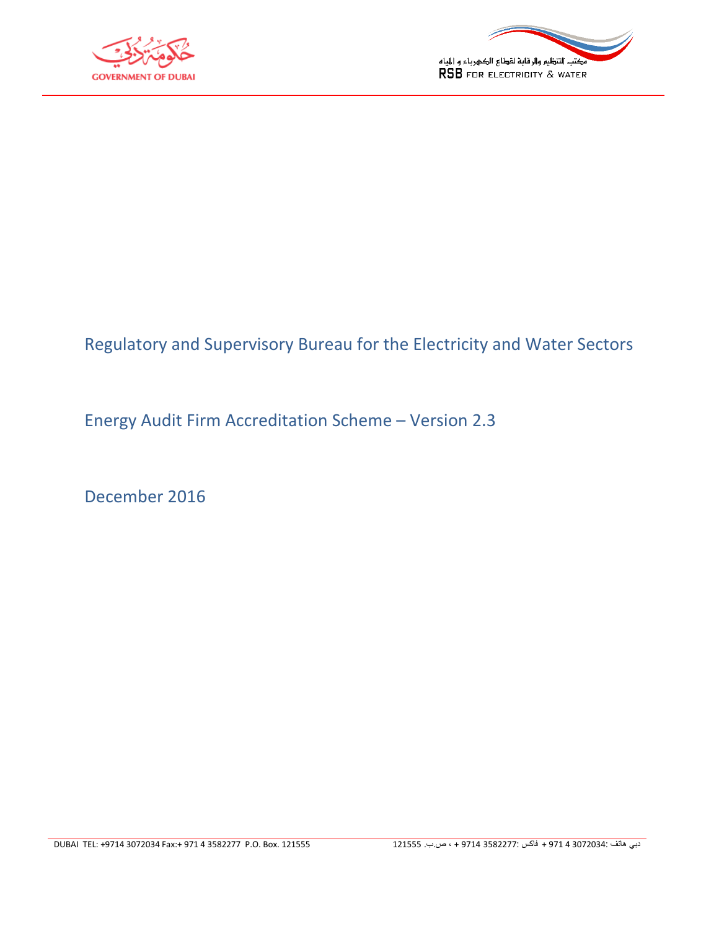



## Regulatory and Supervisory Bureau for the Electricity and Water Sectors

Energy Audit Firm Accreditation Scheme – Version 2.3

December 2016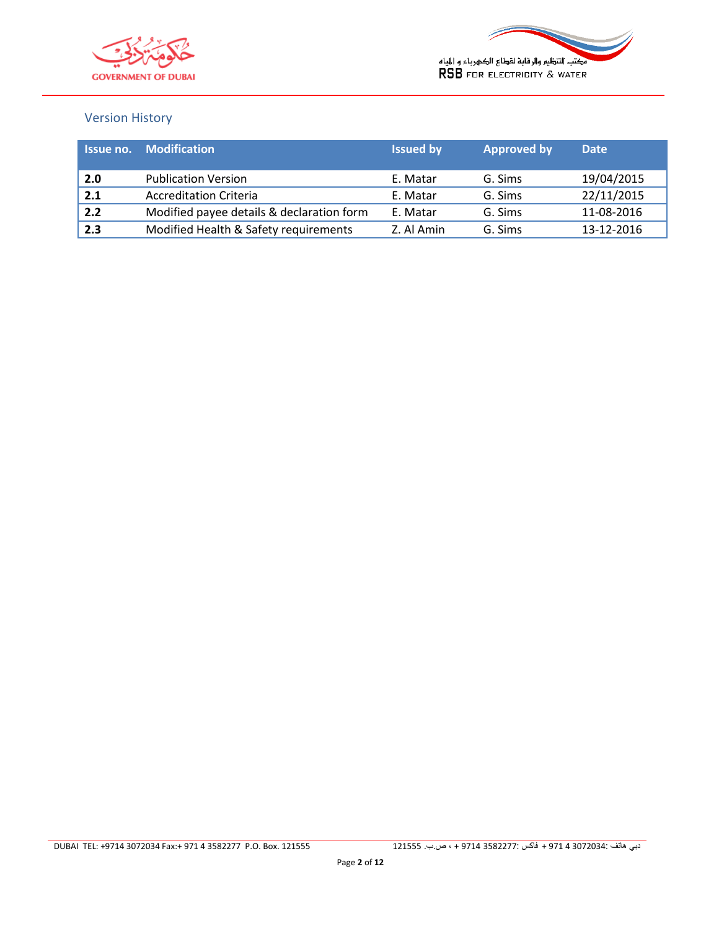



#### Version History

| Issue no. | <b>Modification</b>                       | <b>Issued by</b> | <b>Approved by</b> | <b>Date</b> |
|-----------|-------------------------------------------|------------------|--------------------|-------------|
| 2.0       | <b>Publication Version</b>                | E. Matar         | G. Sims            | 19/04/2015  |
| 2.1       | <b>Accreditation Criteria</b>             | E. Matar         | G. Sims            | 22/11/2015  |
| 2.2       | Modified payee details & declaration form | E. Matar         | G. Sims            | 11-08-2016  |
| 2.3       | Modified Health & Safety requirements     | Z. Al Amin       | G. Sims            | 13-12-2016  |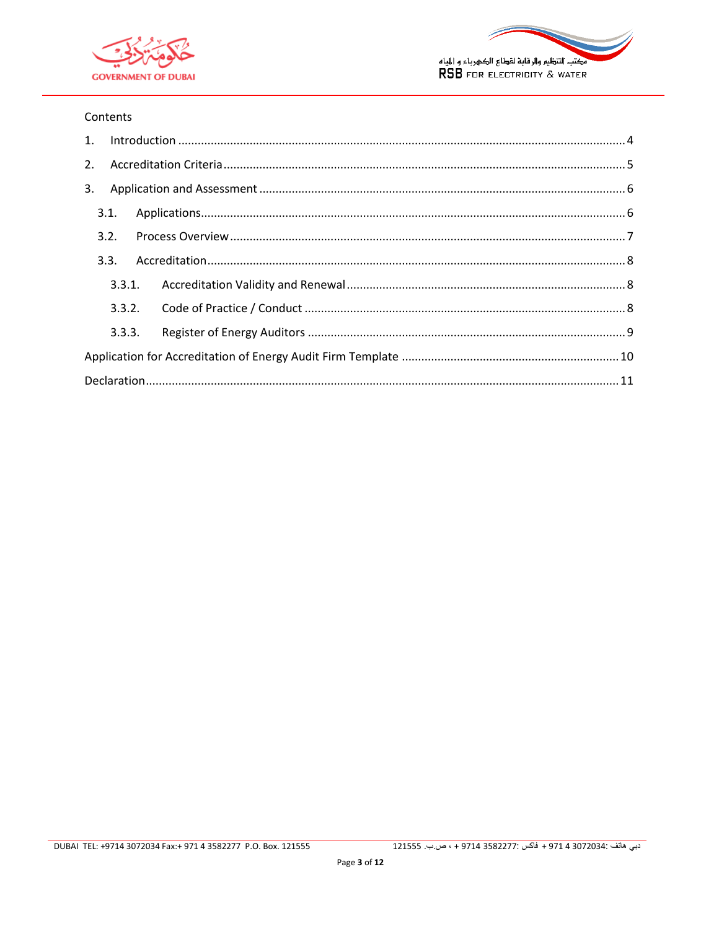



#### Contents

| 2. |      |        |  |
|----|------|--------|--|
| 3. |      |        |  |
|    | 3.1. |        |  |
|    | 3.2. |        |  |
|    | 3.3. |        |  |
|    |      | 3.3.1. |  |
|    |      |        |  |
|    |      | 3.3.3. |  |
|    |      |        |  |
|    |      |        |  |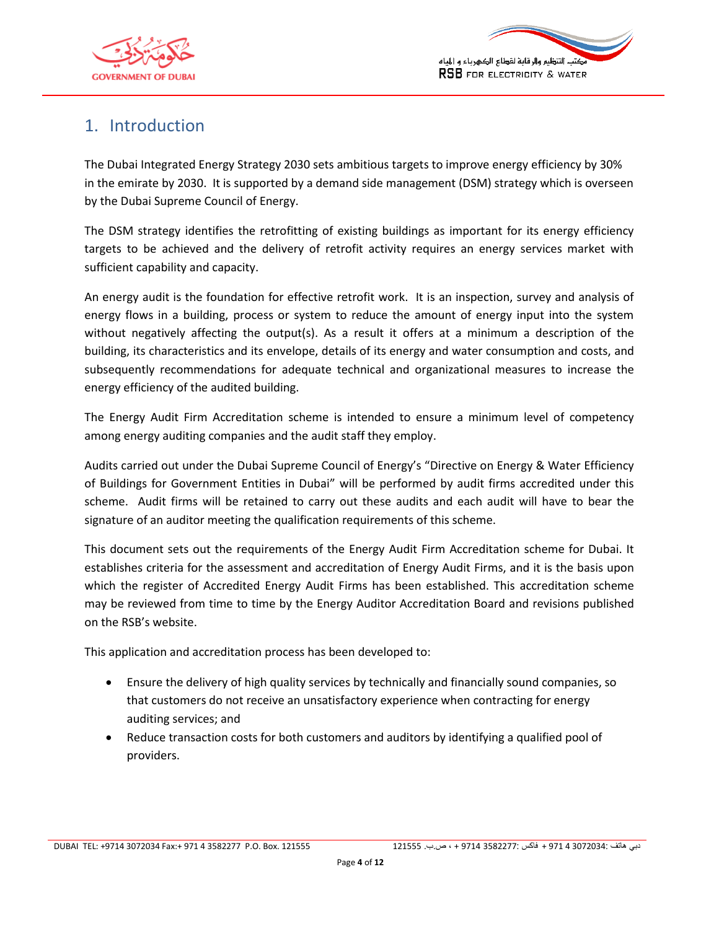



### <span id="page-3-0"></span>1. Introduction

The Dubai Integrated Energy Strategy 2030 sets ambitious targets to improve energy efficiency by 30% in the emirate by 2030. It is supported by a demand side management (DSM) strategy which is overseen by the Dubai Supreme Council of Energy.

The DSM strategy identifies the retrofitting of existing buildings as important for its energy efficiency targets to be achieved and the delivery of retrofit activity requires an energy services market with sufficient capability and capacity.

An energy audit is the foundation for effective retrofit work. It is an inspection, survey and analysis of energy flows in a building, process or system to reduce the amount of energy input into the system without negatively affecting the output(s). As a result it offers at a minimum a description of the building, its characteristics and its envelope, details of its energy and water consumption and costs, and subsequently recommendations for adequate technical and organizational measures to increase the energy efficiency of the audited building.

The Energy Audit Firm Accreditation scheme is intended to ensure a minimum level of competency among energy auditing companies and the audit staff they employ.

Audits carried out under the Dubai Supreme Council of Energy's "Directive on Energy & Water Efficiency of Buildings for Government Entities in Dubai" will be performed by audit firms accredited under this scheme. Audit firms will be retained to carry out these audits and each audit will have to bear the signature of an auditor meeting the qualification requirements of this scheme.

This document sets out the requirements of the Energy Audit Firm Accreditation scheme for Dubai. It establishes criteria for the assessment and accreditation of Energy Audit Firms, and it is the basis upon which the register of Accredited Energy Audit Firms has been established. This accreditation scheme may be reviewed from time to time by the Energy Auditor Accreditation Board and revisions published on the RSB's website.

This application and accreditation process has been developed to:

- Ensure the delivery of high quality services by technically and financially sound companies, so that customers do not receive an unsatisfactory experience when contracting for energy auditing services; and
- Reduce transaction costs for both customers and auditors by identifying a qualified pool of providers.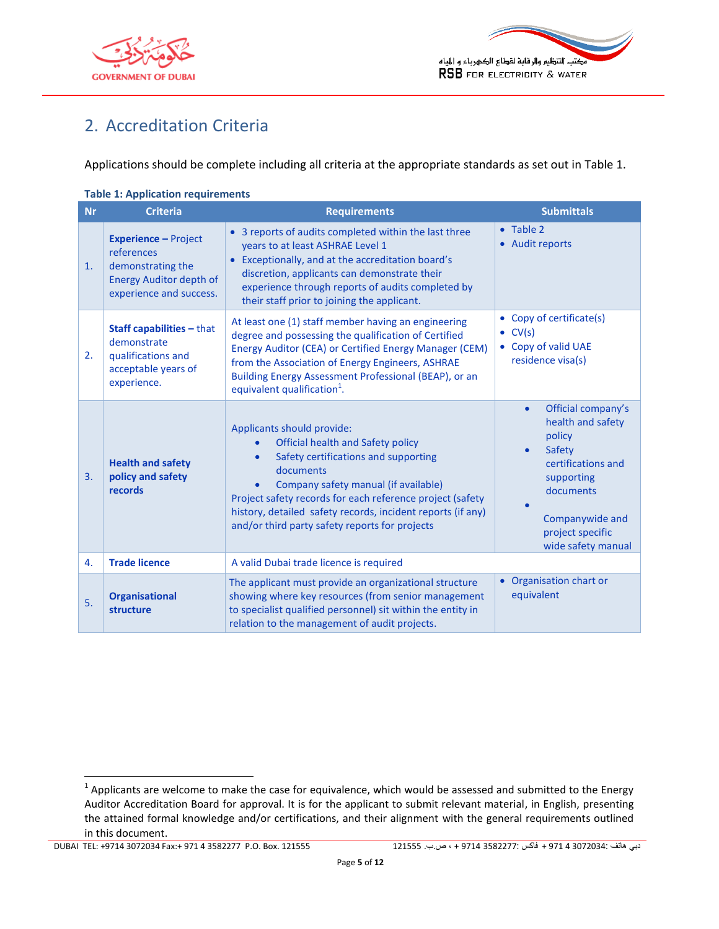



# <span id="page-4-0"></span>2. Accreditation Criteria

Applications should be complete including all criteria at the appropriate standards as set out in [Table 1.](#page-4-1)

<span id="page-4-1"></span>

| <b>Table 1: Application requirements</b> |                                                                                                                             |                                                                                                                                                                                                                                                                                                                                                         |                                                                                                                                                                                                     |  |  |  |
|------------------------------------------|-----------------------------------------------------------------------------------------------------------------------------|---------------------------------------------------------------------------------------------------------------------------------------------------------------------------------------------------------------------------------------------------------------------------------------------------------------------------------------------------------|-----------------------------------------------------------------------------------------------------------------------------------------------------------------------------------------------------|--|--|--|
| <b>Nr</b>                                | <b>Criteria</b>                                                                                                             | <b>Requirements</b>                                                                                                                                                                                                                                                                                                                                     | <b>Submittals</b>                                                                                                                                                                                   |  |  |  |
| 1.                                       | <b>Experience - Project</b><br>references<br>demonstrating the<br><b>Energy Auditor depth of</b><br>experience and success. | 3 reports of audits completed within the last three<br>$\bullet$<br>years to at least ASHRAE Level 1<br>Exceptionally, and at the accreditation board's<br>$\bullet$<br>discretion, applicants can demonstrate their<br>experience through reports of audits completed by<br>their staff prior to joining the applicant.                                | • Table 2<br>• Audit reports                                                                                                                                                                        |  |  |  |
| 2.                                       | Staff capabilities - that<br>demonstrate<br>qualifications and<br>acceptable years of<br>experience.                        | At least one (1) staff member having an engineering<br>degree and possessing the qualification of Certified<br>Energy Auditor (CEA) or Certified Energy Manager (CEM)<br>from the Association of Energy Engineers, ASHRAE<br>Building Energy Assessment Professional (BEAP), or an<br>equivalent qualification <sup>1</sup> .                           | • Copy of certificate(s)<br>$\bullet$ CV(s)<br>• Copy of valid UAE<br>residence visa(s)                                                                                                             |  |  |  |
| 3.                                       | <b>Health and safety</b><br>policy and safety<br>records                                                                    | Applicants should provide:<br>Official health and Safety policy<br>Safety certifications and supporting<br>$\bullet$<br>documents<br>Company safety manual (if available)<br>Project safety records for each reference project (safety<br>history, detailed safety records, incident reports (if any)<br>and/or third party safety reports for projects | Official company's<br>$\bullet$<br>health and safety<br>policy<br>Safety<br>$\bullet$<br>certifications and<br>supporting<br>documents<br>Companywide and<br>project specific<br>wide safety manual |  |  |  |
| 4.                                       | <b>Trade licence</b>                                                                                                        | A valid Dubai trade licence is required                                                                                                                                                                                                                                                                                                                 |                                                                                                                                                                                                     |  |  |  |
| 5.                                       | <b>Organisational</b><br>structure                                                                                          | The applicant must provide an organizational structure<br>showing where key resources (from senior management<br>to specialist qualified personnel) sit within the entity in<br>relation to the management of audit projects.                                                                                                                           | • Organisation chart or<br>equivalent                                                                                                                                                               |  |  |  |

 $\frac{1}{4}$  Applicants are welcome to make the case for equivalence, which would be assessed and submitted to the Energy Auditor Accreditation Board for approval. It is for the applicant to submit relevant material, in English, presenting the attained formal knowledge and/or certifications, and their alignment with the general requirements outlined in this document.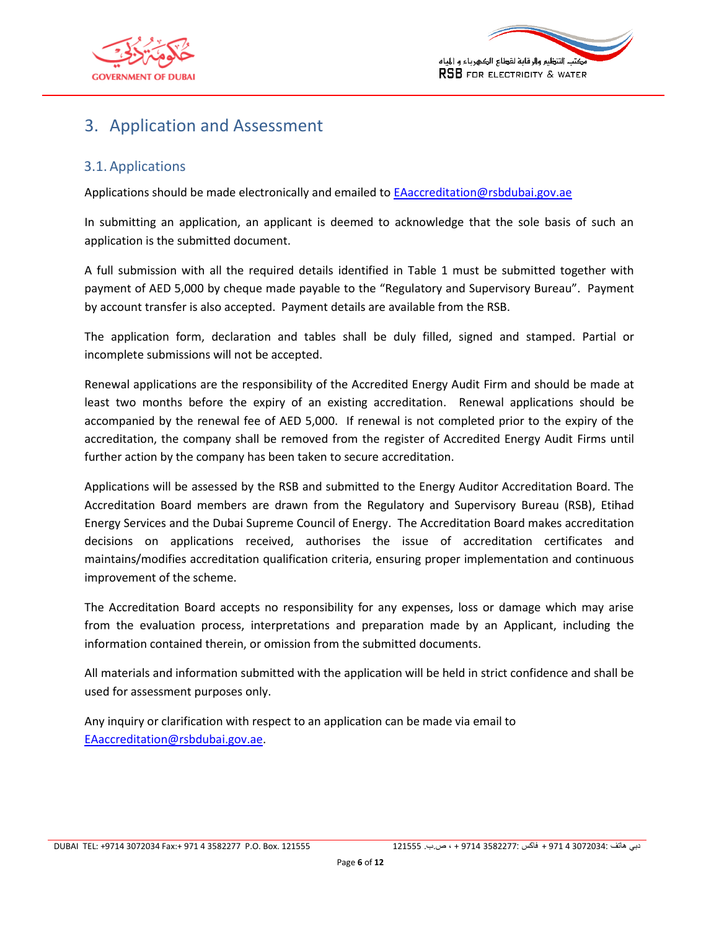



### <span id="page-5-0"></span>3. Application and Assessment

#### <span id="page-5-1"></span>3.1. Applications

Applications should be made electronically and emailed to **EAaccreditation@rsbdubai.gov.ae** 

In submitting an application, an applicant is deemed to acknowledge that the sole basis of such an application is the submitted document.

A full submission with all the required details identified in [Table 1](#page-4-1) must be submitted together with payment of AED 5,000 by cheque made payable to the "Regulatory and Supervisory Bureau". Payment by account transfer is also accepted. Payment details are available from the RSB.

The application form, declaration and tables shall be duly filled, signed and stamped. Partial or incomplete submissions will not be accepted.

Renewal applications are the responsibility of the Accredited Energy Audit Firm and should be made at least two months before the expiry of an existing accreditation. Renewal applications should be accompanied by the renewal fee of AED 5,000. If renewal is not completed prior to the expiry of the accreditation, the company shall be removed from the register of Accredited Energy Audit Firms until further action by the company has been taken to secure accreditation.

Applications will be assessed by the RSB and submitted to the Energy Auditor Accreditation Board. The Accreditation Board members are drawn from the Regulatory and Supervisory Bureau (RSB), Etihad Energy Services and the Dubai Supreme Council of Energy. The Accreditation Board makes accreditation decisions on applications received, authorises the issue of accreditation certificates and maintains/modifies accreditation qualification criteria, ensuring proper implementation and continuous improvement of the scheme.

The Accreditation Board accepts no responsibility for any expenses, loss or damage which may arise from the evaluation process, interpretations and preparation made by an Applicant, including the information contained therein, or omission from the submitted documents.

All materials and information submitted with the application will be held in strict confidence and shall be used for assessment purposes only.

Any inquiry or clarification with respect to an application can be made via email to [EAaccreditation@rsbdubai.gov.ae.](mailto:EAaccreditation@rsbdubai.gov.ae)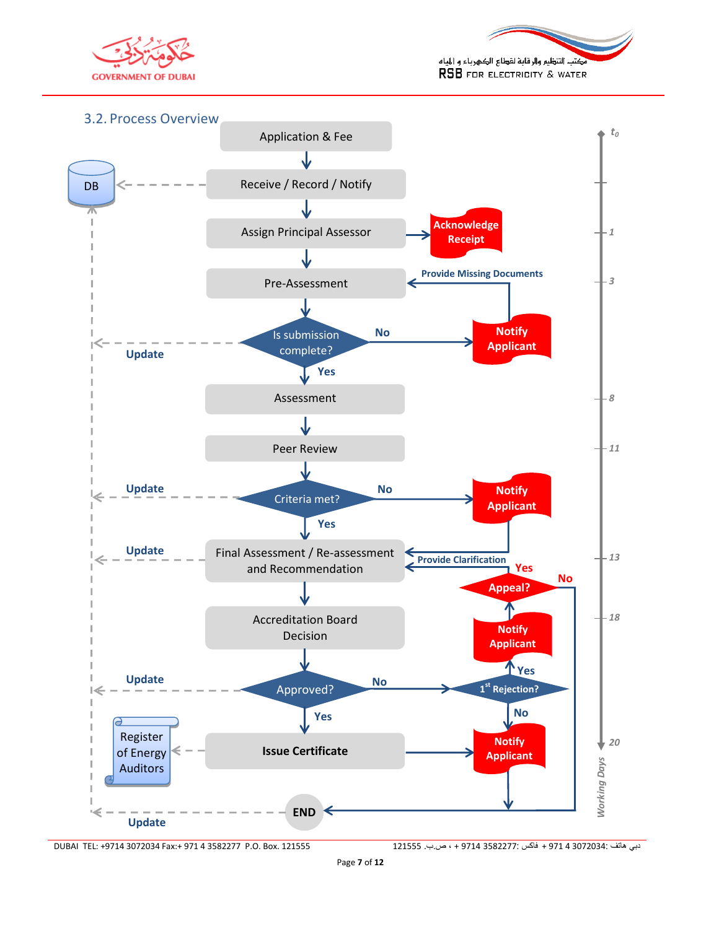



<span id="page-6-0"></span>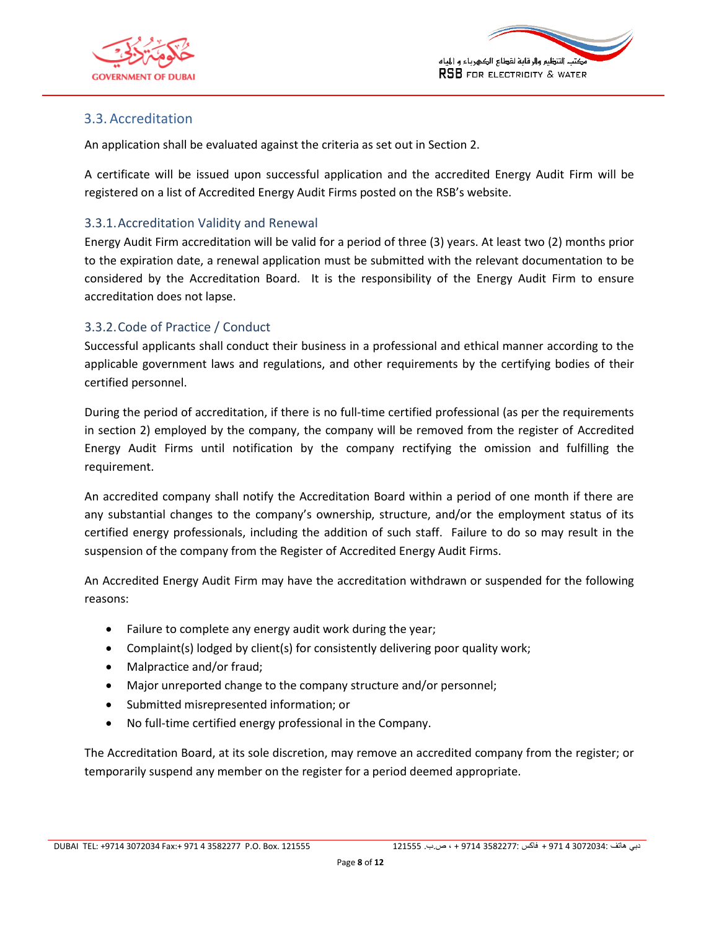



#### <span id="page-7-0"></span>3.3. Accreditation

An application shall be evaluated against the criteria as set out in Section [2.](#page-4-0)

A certificate will be issued upon successful application and the accredited Energy Audit Firm will be registered on a list of Accredited Energy Audit Firms posted on the RSB's website.

#### <span id="page-7-1"></span>3.3.1.Accreditation Validity and Renewal

Energy Audit Firm accreditation will be valid for a period of three (3) years. At least two (2) months prior to the expiration date, a renewal application must be submitted with the relevant documentation to be considered by the Accreditation Board. It is the responsibility of the Energy Audit Firm to ensure accreditation does not lapse.

#### <span id="page-7-2"></span>3.3.2.Code of Practice / Conduct

Successful applicants shall conduct their business in a professional and ethical manner according to the applicable government laws and regulations, and other requirements by the certifying bodies of their certified personnel.

During the period of accreditation, if there is no full-time certified professional (as per the requirements in section 2) employed by the company, the company will be removed from the register of Accredited Energy Audit Firms until notification by the company rectifying the omission and fulfilling the requirement.

An accredited company shall notify the Accreditation Board within a period of one month if there are any substantial changes to the company's ownership, structure, and/or the employment status of its certified energy professionals, including the addition of such staff. Failure to do so may result in the suspension of the company from the Register of Accredited Energy Audit Firms.

An Accredited Energy Audit Firm may have the accreditation withdrawn or suspended for the following reasons:

- Failure to complete any energy audit work during the year;
- Complaint(s) lodged by client(s) for consistently delivering poor quality work;
- Malpractice and/or fraud;
- Major unreported change to the company structure and/or personnel;
- Submitted misrepresented information; or
- No full-time certified energy professional in the Company.

The Accreditation Board, at its sole discretion, may remove an accredited company from the register; or temporarily suspend any member on the register for a period deemed appropriate.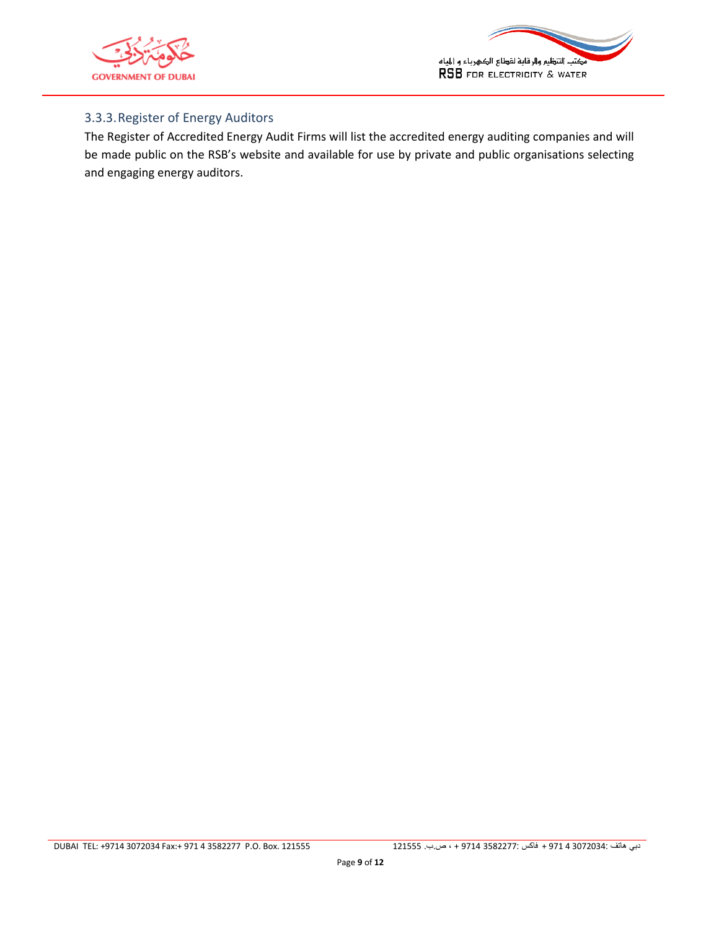



#### <span id="page-8-0"></span>3.3.3.Register of Energy Auditors

The Register of Accredited Energy Audit Firms will list the accredited energy auditing companies and will be made public on the RSB's website and available for use by private and public organisations selecting and engaging energy auditors.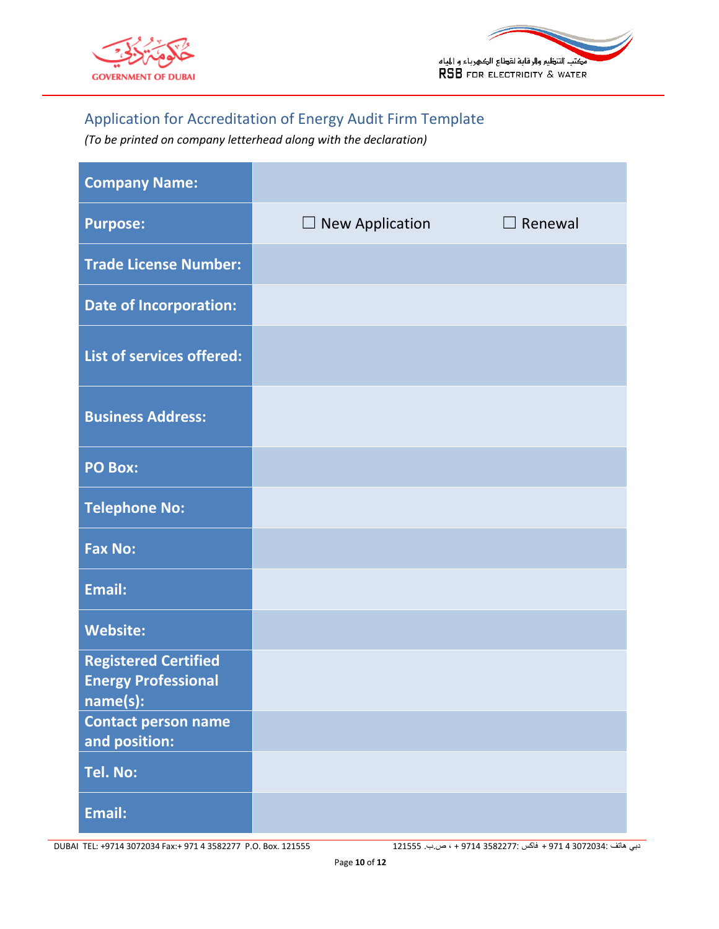



## <span id="page-9-0"></span>Application for Accreditation of Energy Audit Firm Template

*(To be printed on company letterhead along with the declaration)*

| <b>Company Name:</b>                                                  |                        |                |
|-----------------------------------------------------------------------|------------------------|----------------|
| <b>Purpose:</b>                                                       | $\Box$ New Application | $\Box$ Renewal |
| <b>Trade License Number:</b>                                          |                        |                |
| <b>Date of Incorporation:</b>                                         |                        |                |
| List of services offered:                                             |                        |                |
| <b>Business Address:</b>                                              |                        |                |
| <b>PO Box:</b>                                                        |                        |                |
| <b>Telephone No:</b>                                                  |                        |                |
| <b>Fax No:</b>                                                        |                        |                |
| <b>Email:</b>                                                         |                        |                |
| <b>Website:</b>                                                       |                        |                |
| <b>Registered Certified</b><br><b>Energy Professional</b><br>name(s): |                        |                |
| <b>Contact person name</b><br>and position:                           |                        |                |
| Tel. No:                                                              |                        |                |
| Email:                                                                |                        |                |

DUBAI TEL: +9714 0712709 Fax:+ 971 4 0582277 P.O. Box. 121555 121555 .ب.ص ، + 4179 3582277: فاكس + 971 4 3072034: هاتف دبي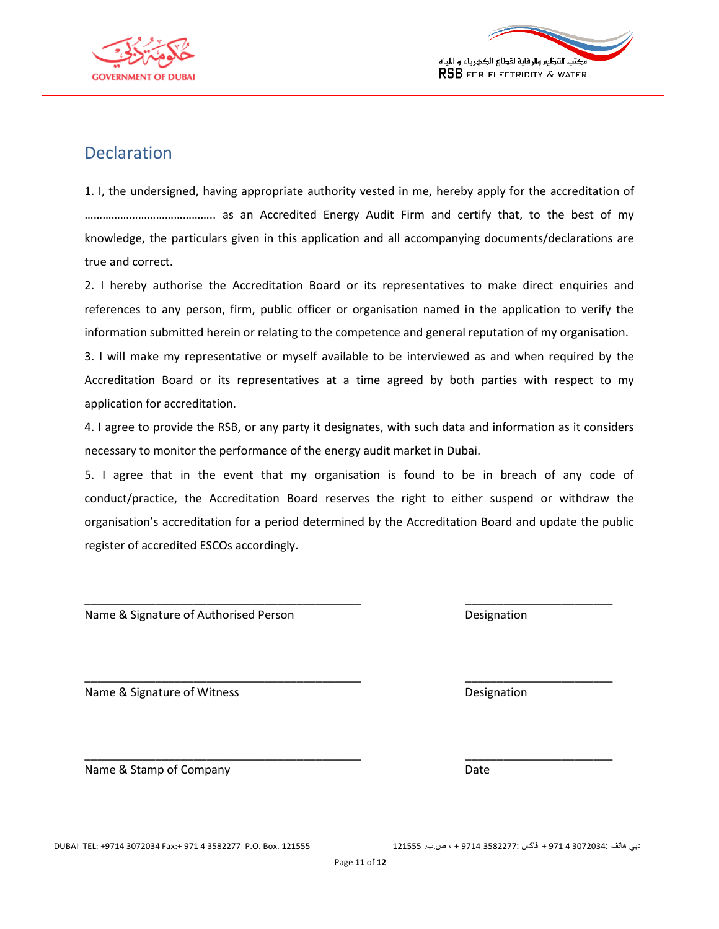



### <span id="page-10-0"></span>**Declaration**

1. I, the undersigned, having appropriate authority vested in me, hereby apply for the accreditation of …………………………………….. as an Accredited Energy Audit Firm and certify that, to the best of my knowledge, the particulars given in this application and all accompanying documents/declarations are true and correct.

2. I hereby authorise the Accreditation Board or its representatives to make direct enquiries and references to any person, firm, public officer or organisation named in the application to verify the information submitted herein or relating to the competence and general reputation of my organisation.

3. I will make my representative or myself available to be interviewed as and when required by the Accreditation Board or its representatives at a time agreed by both parties with respect to my application for accreditation.

4. I agree to provide the RSB, or any party it designates, with such data and information as it considers necessary to monitor the performance of the energy audit market in Dubai.

5. I agree that in the event that my organisation is found to be in breach of any code of conduct/practice, the Accreditation Board reserves the right to either suspend or withdraw the organisation's accreditation for a period determined by the Accreditation Board and update the public register of accredited ESCOs accordingly.

\_\_\_\_\_\_\_\_\_\_\_\_\_\_\_\_\_\_\_\_\_\_\_\_\_\_\_\_\_\_\_\_\_\_\_\_\_\_\_\_\_\_\_ \_\_\_\_\_\_\_\_\_\_\_\_\_\_\_\_\_\_\_\_\_\_\_

\_\_\_\_\_\_\_\_\_\_\_\_\_\_\_\_\_\_\_\_\_\_\_\_\_\_\_\_\_\_\_\_\_\_\_\_\_\_\_\_\_\_\_ \_\_\_\_\_\_\_\_\_\_\_\_\_\_\_\_\_\_\_\_\_\_\_

\_\_\_\_\_\_\_\_\_\_\_\_\_\_\_\_\_\_\_\_\_\_\_\_\_\_\_\_\_\_\_\_\_\_\_\_\_\_\_\_\_\_\_ \_\_\_\_\_\_\_\_\_\_\_\_\_\_\_\_\_\_\_\_\_\_\_

Name & Signature of Authorised Person **Designation** Designation

Name & Signature of Witness **Designation** Designation

Name & Stamp of Company Date by Date Date